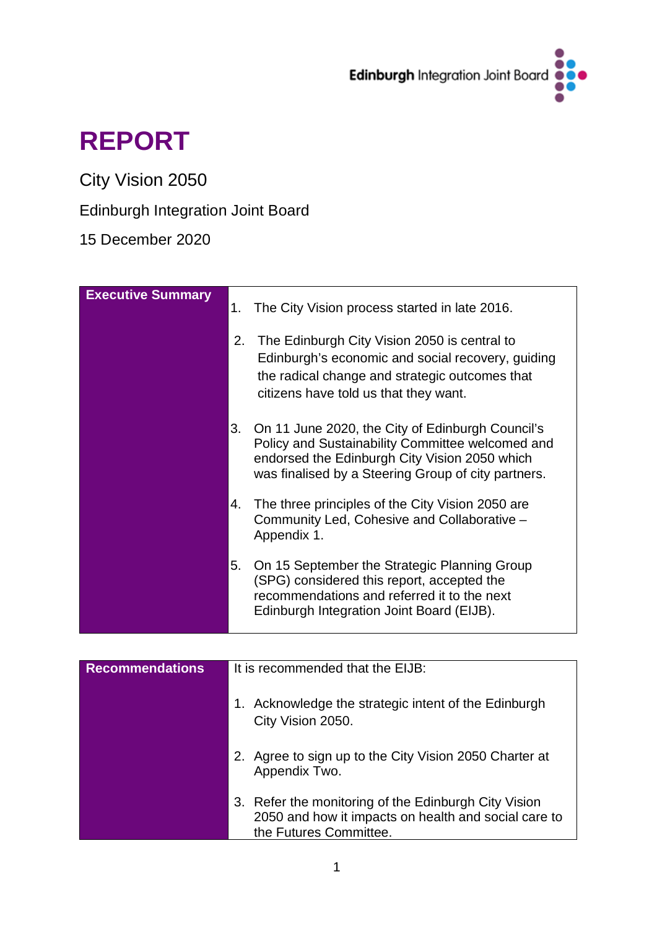

# **REPORT**

City Vision 2050

# Edinburgh Integration Joint Board

15 December 2020

| <b>Executive Summary</b> | 1.<br>2. | The City Vision process started in late 2016.<br>The Edinburgh City Vision 2050 is central to<br>Edinburgh's economic and social recovery, guiding<br>the radical change and strategic outcomes that<br>citizens have told us that they want. |
|--------------------------|----------|-----------------------------------------------------------------------------------------------------------------------------------------------------------------------------------------------------------------------------------------------|
|                          | 3.       | On 11 June 2020, the City of Edinburgh Council's<br>Policy and Sustainability Committee welcomed and<br>endorsed the Edinburgh City Vision 2050 which<br>was finalised by a Steering Group of city partners.                                  |
|                          | 4.       | The three principles of the City Vision 2050 are<br>Community Led, Cohesive and Collaborative -<br>Appendix 1.                                                                                                                                |
|                          | 5.       | On 15 September the Strategic Planning Group<br>(SPG) considered this report, accepted the<br>recommendations and referred it to the next<br>Edinburgh Integration Joint Board (EIJB).                                                        |

| <b>Recommendations</b> | It is recommended that the EIJB:                                                                                                       |  |  |
|------------------------|----------------------------------------------------------------------------------------------------------------------------------------|--|--|
|                        | 1. Acknowledge the strategic intent of the Edinburgh<br>City Vision 2050.                                                              |  |  |
|                        | 2. Agree to sign up to the City Vision 2050 Charter at<br>Appendix Two.                                                                |  |  |
|                        | 3. Refer the monitoring of the Edinburgh City Vision<br>2050 and how it impacts on health and social care to<br>the Futures Committee. |  |  |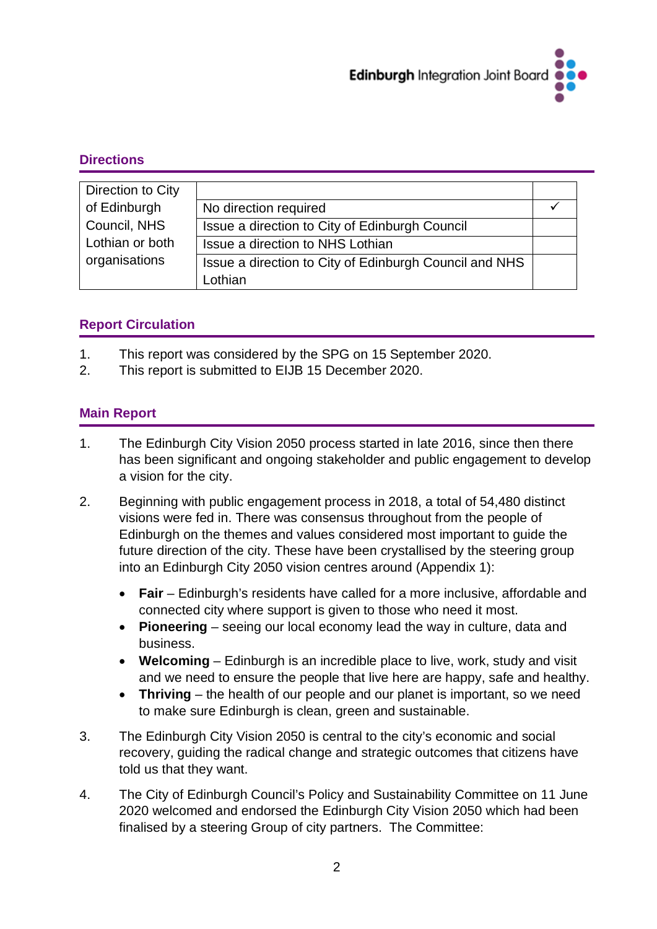

#### **Directions**

| Direction to City |                                                        |  |
|-------------------|--------------------------------------------------------|--|
| of Edinburgh      | No direction required                                  |  |
| Council, NHS      | Issue a direction to City of Edinburgh Council         |  |
| Lothian or both   | Issue a direction to NHS Lothian                       |  |
| organisations     | Issue a direction to City of Edinburgh Council and NHS |  |
|                   | Lothian                                                |  |

# **Report Circulation**

- 1. This report was considered by the SPG on 15 September 2020.
- 2. This report is submitted to EIJB 15 December 2020.

#### **Main Report**

- 1. The Edinburgh City Vision 2050 process started in late 2016, since then there has been significant and ongoing stakeholder and public engagement to develop a vision for the city.
- 2. Beginning with public engagement process in 2018, a total of 54,480 distinct visions were fed in. There was consensus throughout from the people of Edinburgh on the themes and values considered most important to guide the future direction of the city. These have been crystallised by the steering group into an Edinburgh City 2050 vision centres around (Appendix 1):
	- **Fair**  Edinburgh's residents have called for a more inclusive, affordable and connected city where support is given to those who need it most.
	- **Pioneering**  seeing our local economy lead the way in culture, data and business.
	- **Welcoming** Edinburgh is an incredible place to live, work, study and visit and we need to ensure the people that live here are happy, safe and healthy.
	- **Thriving**  the health of our people and our planet is important, so we need to make sure Edinburgh is clean, green and sustainable.
- 3. The Edinburgh City Vision 2050 is central to the city's economic and social recovery, guiding the radical change and strategic outcomes that citizens have told us that they want.
- 4. The City of Edinburgh Council's Policy and Sustainability Committee on 11 June 2020 welcomed and endorsed the Edinburgh City Vision 2050 which had been finalised by a steering Group of city partners. The Committee: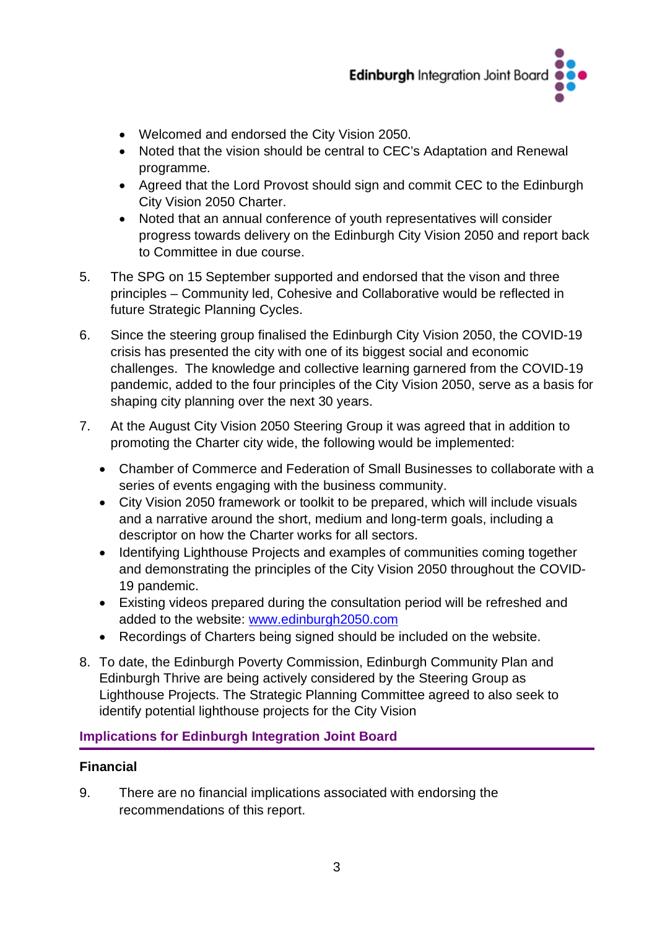

- Welcomed and endorsed the City Vision 2050.
- Noted that the vision should be central to CEC's Adaptation and Renewal programme.
- Agreed that the Lord Provost should sign and commit CEC to the Edinburgh City Vision 2050 Charter.
- Noted that an annual conference of youth representatives will consider progress towards delivery on the Edinburgh City Vision 2050 and report back to Committee in due course.
- 5. The SPG on 15 September supported and endorsed that the vison and three principles – Community led, Cohesive and Collaborative would be reflected in future Strategic Planning Cycles.
- 6. Since the steering group finalised the Edinburgh City Vision 2050, the COVID-19 crisis has presented the city with one of its biggest social and economic challenges. The knowledge and collective learning garnered from the COVID-19 pandemic, added to the four principles of the City Vision 2050, serve as a basis for shaping city planning over the next 30 years.
- 7. At the August City Vision 2050 Steering Group it was agreed that in addition to promoting the Charter city wide, the following would be implemented:
	- Chamber of Commerce and Federation of Small Businesses to collaborate with a series of events engaging with the business community.
	- City Vision 2050 framework or toolkit to be prepared, which will include visuals and a narrative around the short, medium and long-term goals, including a descriptor on how the Charter works for all sectors.
	- Identifying Lighthouse Projects and examples of communities coming together and demonstrating the principles of the City Vision 2050 throughout the COVID-19 pandemic.
	- Existing videos prepared during the consultation period will be refreshed and added to the website: [www.edinburgh2050.com](http://www.edinburgh2050.com/)
	- Recordings of Charters being signed should be included on the website.
- 8. To date, the Edinburgh Poverty Commission, Edinburgh Community Plan and Edinburgh Thrive are being actively considered by the Steering Group as Lighthouse Projects. The Strategic Planning Committee agreed to also seek to identify potential lighthouse projects for the City Vision

# **Implications for Edinburgh Integration Joint Board**

# **Financial**

9. There are no financial implications associated with endorsing the recommendations of this report.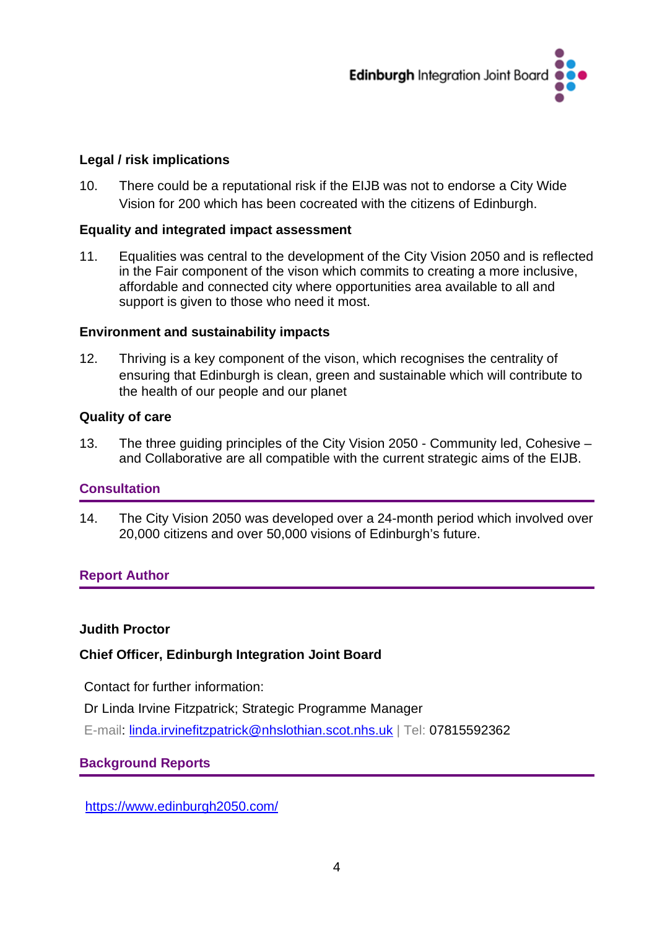

#### **Legal / risk implications**

10. There could be a reputational risk if the EIJB was not to endorse a City Wide Vision for 200 which has been cocreated with the citizens of Edinburgh.

#### **Equality and integrated impact assessment**

11. Equalities was central to the development of the City Vision 2050 and is reflected in the Fair component of the vison which commits to creating a more inclusive, affordable and connected city where opportunities area available to all and support is given to those who need it most.

#### **Environment and sustainability impacts**

12. Thriving is a key component of the vison, which recognises the centrality of ensuring that Edinburgh is clean, green and sustainable which will contribute to the health of our people and our planet

#### **Quality of care**

13. The three guiding principles of the City Vision 2050 - Community led, Cohesive – and Collaborative are all compatible with the current strategic aims of the EIJB.

#### **Consultation**

14. The City Vision 2050 was developed over a 24-month period which involved over 20,000 citizens and over 50,000 visions of Edinburgh's future.

#### **Report Author**

#### **Judith Proctor**

#### **Chief Officer, Edinburgh Integration Joint Board**

Contact for further information:

Dr Linda Irvine Fitzpatrick; Strategic Programme Manager

E-mail: [linda.irvinefitzpatrick@nhslothian.scot.nhs.uk](mailto:linda.irvinefitzpatrick@nhslothian.scot.nhs.uk) | Tel: 07815592362

#### **Background Reports**

<https://www.edinburgh2050.com/>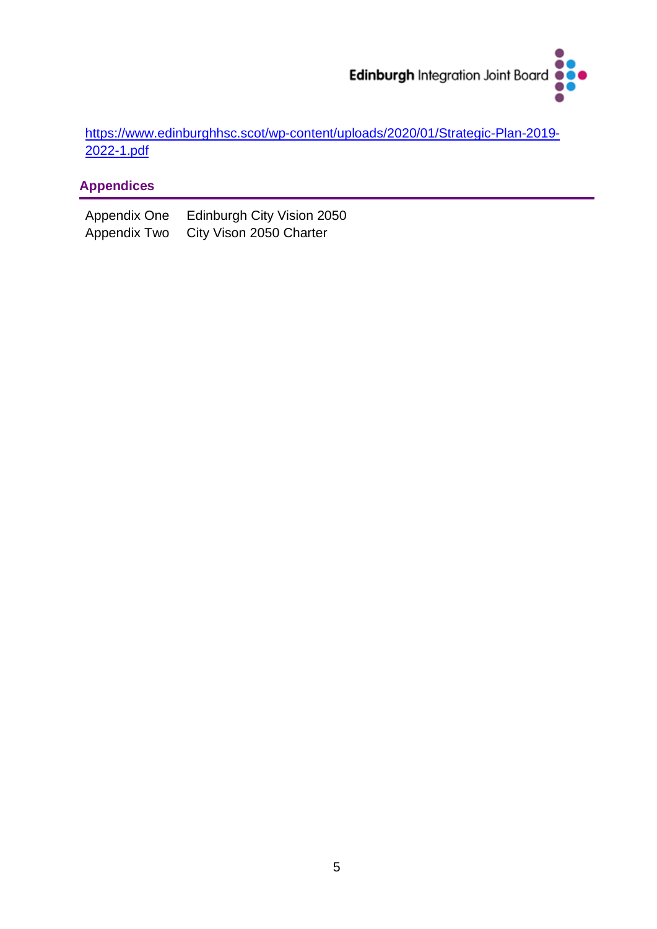

[https://www.edinburghhsc.scot/wp-content/uploads/2020/01/Strategic-Plan-2019-](https://www.edinburghhsc.scot/wp-content/uploads/2020/01/Strategic-Plan-2019-2022-1.pdf) [2022-1.pdf](https://www.edinburghhsc.scot/wp-content/uploads/2020/01/Strategic-Plan-2019-2022-1.pdf)

# **Appendices**

Appendix One Edinburgh City Vision 2050<br>Appendix Two City Vison 2050 Charter City Vison 2050 Charter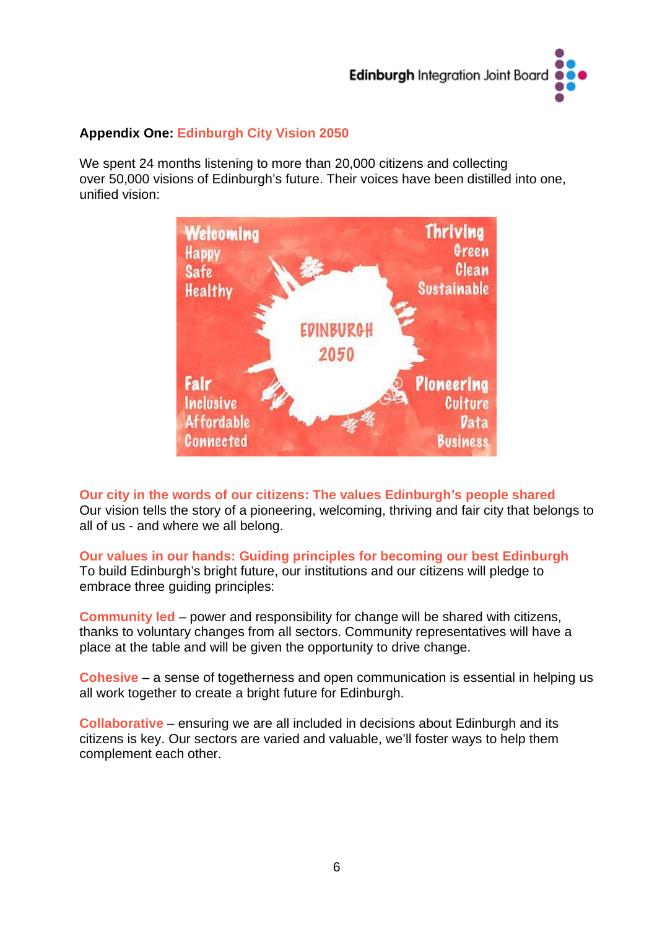

### **Appendix One: Edinburgh City Vision 2050**

We spent 24 months listening to more than 20,000 citizens and collecting over 50,000 visions of Edinburgh's future. Their voices have been distilled into one, unified vision:



**Our city in the words of our citizens: The values Edinburgh's people shared** Our vision tells the story of a pioneering, welcoming, thriving and fair city that belongs to all of us - and where we all belong.

**Our values in our hands: Guiding principles for becoming our best Edinburgh** To build Edinburgh's bright future, our institutions and our citizens will pledge to

embrace three guiding principles:

**Community led** – power and responsibility for change will be shared with citizens, thanks to voluntary changes from all sectors. Community representatives will have a place at the table and will be given the opportunity to drive change.

**Cohesive** – a sense of togetherness and open communication is essential in helping us all work together to create a bright future for Edinburgh.

**Collaborative** – ensuring we are all included in decisions about Edinburgh and its citizens is key. Our sectors are varied and valuable, we'll foster ways to help them complement each other.